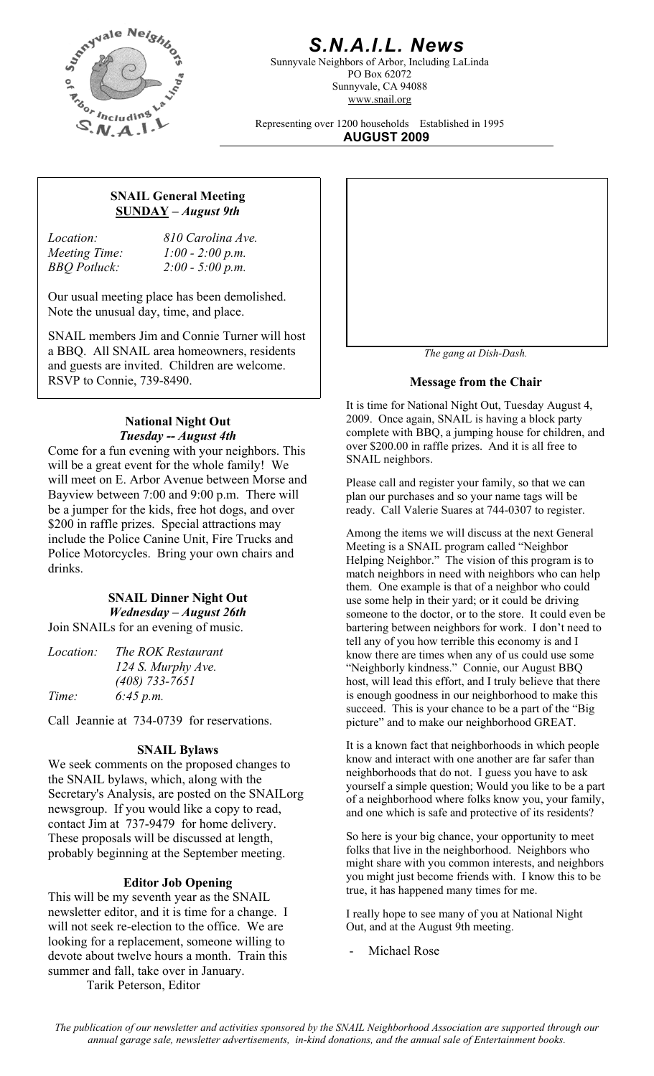

# *S.N.A.I.L. News*

Sunnyvale Neighbors of Arbor, Including LaLinda PO Box 62072 Sunnyvale, CA 94088 www.snail.org

Representing over 1200 households Established in 1995 **AUGUST 2009**

#### **SNAIL General Meeting SUNDAY** *– August 9th*

*Location: 810 Carolina Ave. Meeting Time: 1:00 - 2:00 p.m. BBQ Potluck: 2:00 - 5:00 p.m.* 

Our usual meeting place has been demolished. Note the unusual day, time, and place.

SNAIL members Jim and Connie Turner will host a BBQ. All SNAIL area homeowners, residents and guests are invited. Children are welcome. RSVP to Connie, 739-8490.

#### **National Night Out**  *Tuesday -- August 4th*

Come for a fun evening with your neighbors. This will be a great event for the whole family! We will meet on E. Arbor Avenue between Morse and Bayview between 7:00 and 9:00 p.m. There will be a jumper for the kids, free hot dogs, and over \$200 in raffle prizes. Special attractions may include the Police Canine Unit, Fire Trucks and Police Motorcycles. Bring your own chairs and drinks.

### **SNAIL Dinner Night Out**  *Wednesday – August 26th*

Join SNAILs for an evening of music.

| The ROK Restaurant |
|--------------------|
| 124 S. Murphy Ave. |
| $(408)$ 733-7651   |
| 6:45 p.m.          |
|                    |

Call Jeannie at 734-0739 for reservations.

#### **SNAIL Bylaws**

We seek comments on the proposed changes to the SNAIL bylaws, which, along with the Secretary's Analysis, are posted on the SNAILorg newsgroup. If you would like a copy to read, contact Jim at 737-9479 for home delivery. These proposals will be discussed at length, probably beginning at the September meeting.

This will be my seventh year as the SNAIL newsletter editor, and it is time for a change. I will not seek re-election to the office. We are looking for a replacement, someone willing to devote about twelve hours a month. Train this summer and fall, take over in January. Tarik Peterson, Editor



*The gang at Dish-Dash.* 

#### **Message from the Chair**

It is time for National Night Out, Tuesday August 4, 2009. Once again, SNAIL is having a block party complete with BBQ, a jumping house for children, and over \$200.00 in raffle prizes. And it is all free to SNAIL neighbors.

Please call and register your family, so that we can plan our purchases and so your name tags will be ready. Call Valerie Suares at 744-0307 to register.

Among the items we will discuss at the next General Meeting is a SNAIL program called "Neighbor Helping Neighbor." The vision of this program is to match neighbors in need with neighbors who can help them. One example is that of a neighbor who could use some help in their yard; or it could be driving someone to the doctor, or to the store. It could even be bartering between neighbors for work. I don't need to tell any of you how terrible this economy is and I know there are times when any of us could use some "Neighborly kindness." Connie, our August BBQ host, will lead this effort, and I truly believe that there is enough goodness in our neighborhood to make this succeed. This is your chance to be a part of the "Big picture" and to make our neighborhood GREAT.

It is a known fact that neighborhoods in which people know and interact with one another are far safer than neighborhoods that do not. I guess you have to ask yourself a simple question; Would you like to be a part of a neighborhood where folks know you, your family, and one which is safe and protective of its residents?

So here is your big chance, your opportunity to meet folks that live in the neighborhood. Neighbors who might share with you common interests, and neighbors you might just become friends with. I know this to be **Editor Job Opening** you inight just become friends with: 1 Ki vertext and the SNAT frue, it has happened many times for me.

> I really hope to see many of you at National Night Out, and at the August 9th meeting.

Michael Rose